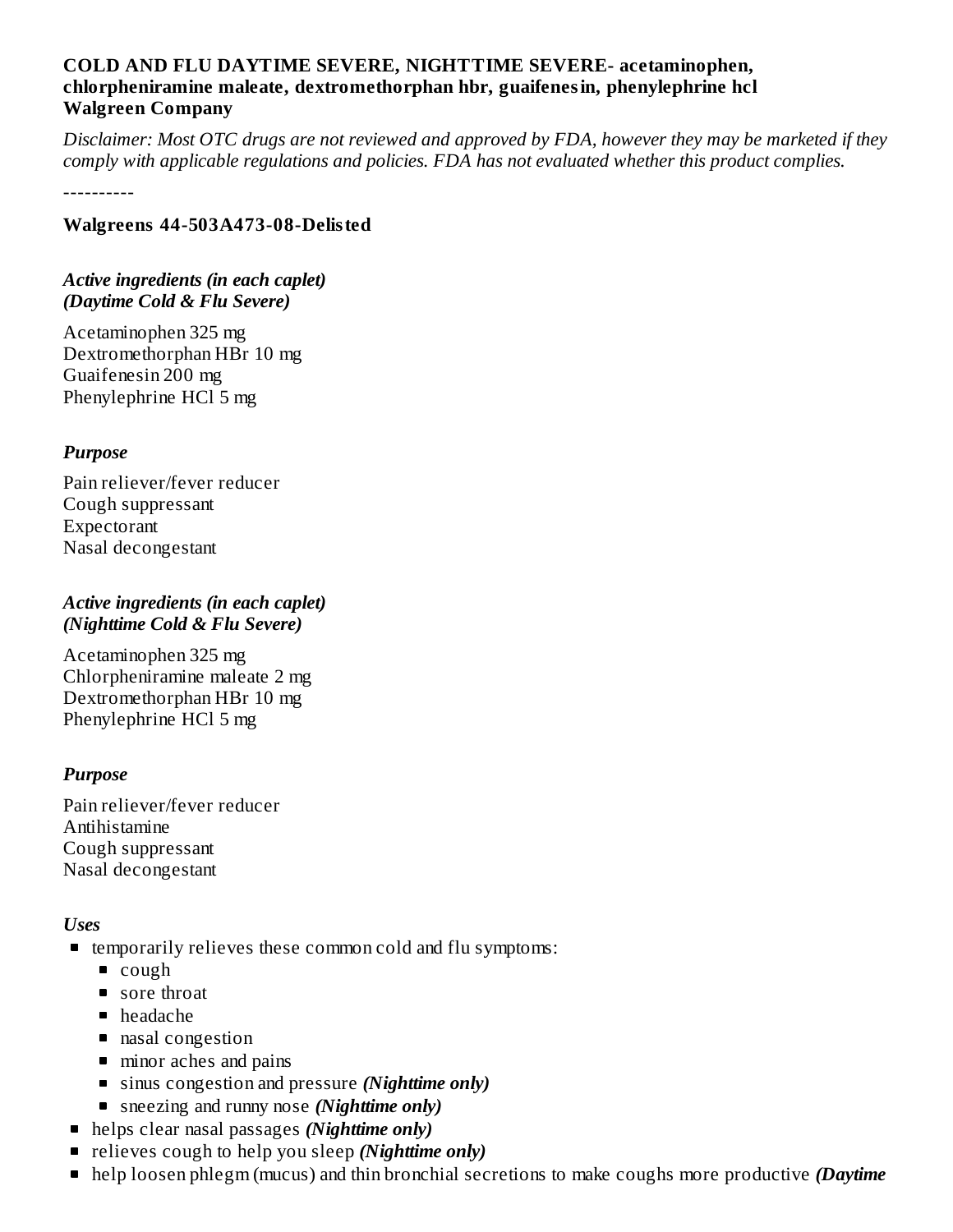#### **COLD AND FLU DAYTIME SEVERE, NIGHTTIME SEVERE- acetaminophen, chlorpheniramine maleate, dextromethorphan hbr, guaifenesin, phenylephrine hcl Walgreen Company**

Disclaimer: Most OTC drugs are not reviewed and approved by FDA, however they may be marketed if they *comply with applicable regulations and policies. FDA has not evaluated whether this product complies.*

----------

#### **Walgreens 44-503A473-08-Delisted**

#### *Active ingredients (in each caplet) (Daytime Cold & Flu Severe)*

Acetaminophen 325 mg Dextromethorphan HBr 10 mg Guaifenesin 200 mg Phenylephrine HCl 5 mg

#### *Purpose*

Pain reliever/fever reducer Cough suppressant Expectorant Nasal decongestant

#### *Active ingredients (in each caplet) (Nighttime Cold & Flu Severe)*

Acetaminophen 325 mg Chlorpheniramine maleate 2 mg Dextromethorphan HBr 10 mg Phenylephrine HCl 5 mg

#### *Purpose*

Pain reliever/fever reducer Antihistamine Cough suppressant Nasal decongestant

#### *Uses*

- temporarily relieves these common cold and flu symptoms:
	- cough
	- sore throat
	- headache
	- nasal congestion
	- minor aches and pains
	- sinus congestion and pressure *(Nighttime only)*
	- sneezing and runny nose *(Nighttime only)*
- helps clear nasal passages *(Nighttime only)*
- relieves cough to help you sleep *(Nighttime only)*
- help loosen phlegm (mucus) and thin bronchial secretions to make coughs more productive *(Daytime*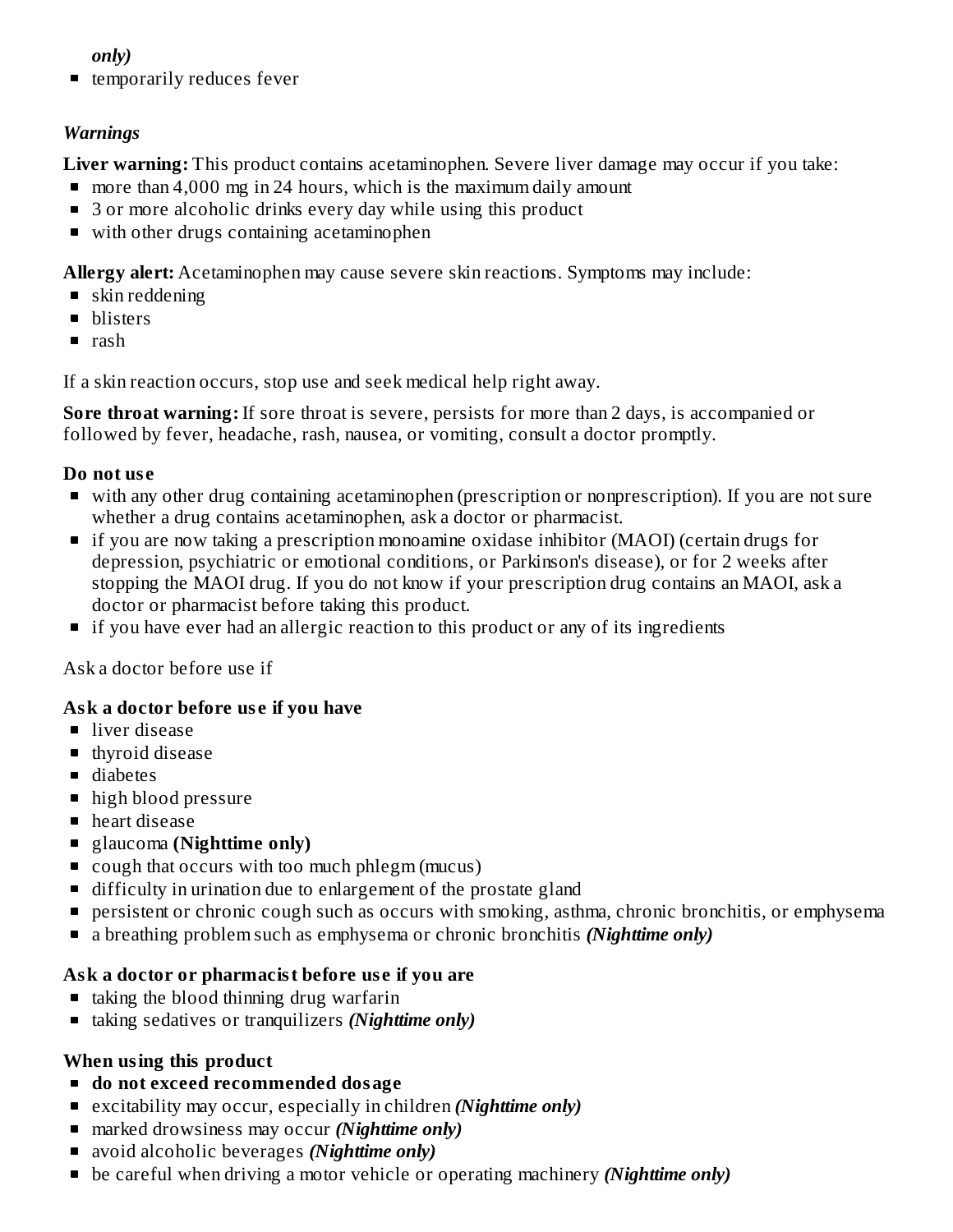#### *only)*

■ temporarily reduces fever

#### *Warnings*

**Liver warning:** This product contains acetaminophen. Severe liver damage may occur if you take:

- **n** more than 4,000 mg in 24 hours, which is the maximum daily amount
- 3 or more alcoholic drinks every day while using this product
- with other drugs containing acetaminophen

**Allergy alert:** Acetaminophen may cause severe skin reactions. Symptoms may include:

- skin reddening
- **blisters**
- rash

If a skin reaction occurs, stop use and seek medical help right away.

**Sore throat warning:** If sore throat is severe, persists for more than 2 days, is accompanied or followed by fever, headache, rash, nausea, or vomiting, consult a doctor promptly.

#### **Do not us e**

- with any other drug containing acetaminophen (prescription or nonprescription). If you are not sure whether a drug contains acetaminophen, ask a doctor or pharmacist.
- if you are now taking a prescription monoamine oxidase inhibitor (MAOI) (certain drugs for depression, psychiatric or emotional conditions, or Parkinson's disease), or for 2 weeks after stopping the MAOI drug. If you do not know if your prescription drug contains an MAOI, ask a doctor or pharmacist before taking this product.
- **If you have ever had an allergic reaction to this product or any of its ingredients**

Ask a doctor before use if

## **Ask a doctor before us e if you have**

- liver disease
- **thyroid disease**
- diabetes
- high blood pressure
- heart disease
- glaucoma **(Nighttime only)**
- cough that occurs with too much phlegm (mucus)
- **difficulty in urination due to enlargement of the prostate gland**
- **Persistent or chronic cough such as occurs with smoking, asthma, chronic bronchitis, or emphysema**
- a breathing problem such as emphysema or chronic bronchitis *(Nighttime only)*

## **Ask a doctor or pharmacist before us e if you are**

- taking the blood thinning drug warfarin
- taking sedatives or tranquilizers *(Nighttime only)*

## **When using this product**

- **do not exceed recommended dosage**
- excitability may occur, especially in children *(Nighttime only)*
- marked drowsiness may occur *(Nighttime only)*
- avoid alcoholic beverages *(Nighttime only)*
- be careful when driving a motor vehicle or operating machinery *(Nighttime only)*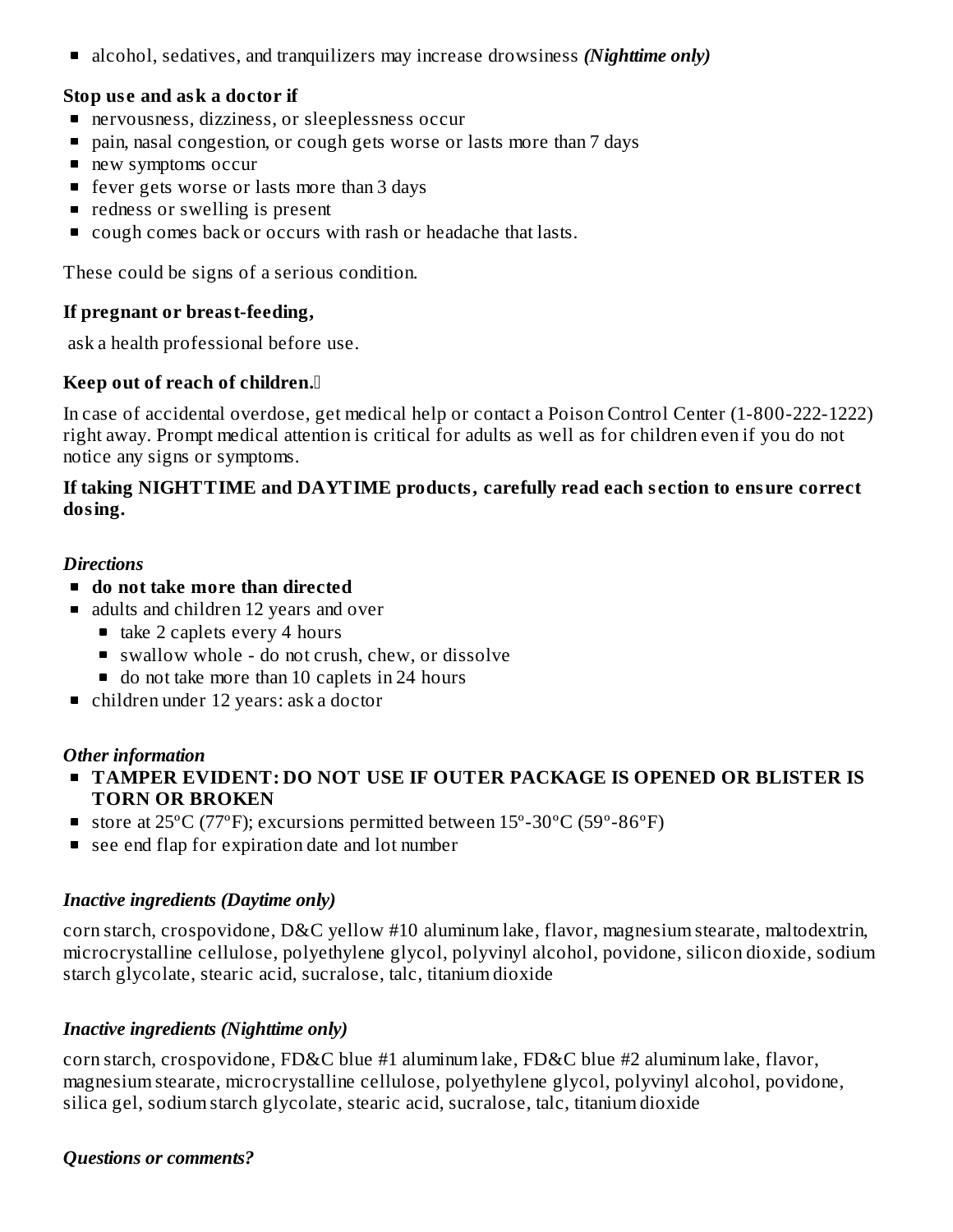■ alcohol, sedatives, and tranquilizers may increase drowsiness *(Nighttime only)* 

#### **Stop us e and ask a doctor if**

- nervousness, dizziness, or sleeplessness occur
- pain, nasal congestion, or cough gets worse or lasts more than 7 days
- new symptoms occur
- fever gets worse or lasts more than 3 days
- redness or swelling is present
- cough comes back or occurs with rash or headache that lasts.

These could be signs of a serious condition.

#### **If pregnant or breast-feeding,**

ask a health professional before use.

#### **Keep out of reach of children.**

In case of accidental overdose, get medical help or contact a Poison Control Center (1-800-222-1222) right away. Prompt medical attention is critical for adults as well as for children even if you do not notice any signs or symptoms.

#### **If taking NIGHTTIME and DAYTIME products, carefully read each s ection to ensure correct dosing.**

#### *Directions*

- **do not take more than directed**
- adults and children 12 years and over
	- $\blacksquare$  take 2 caplets every 4 hours
	- swallow whole do not crush, chew, or dissolve
	- do not take more than 10 caplets in 24 hours
- children under 12 years: ask a doctor

#### *Other information*

- **TAMPER EVIDENT: DO NOT USE IF OUTER PACKAGE IS OPENED OR BLISTER IS TORN OR BROKEN**
- store at  $25^{\circ}$ C (77°F); excursions permitted between  $15^{\circ}$ -30°C (59°-86°F)
- see end flap for expiration date and lot number

#### *Inactive ingredients (Daytime only)*

corn starch, crospovidone, D&C yellow #10 aluminum lake, flavor, magnesium stearate, maltodextrin, microcrystalline cellulose, polyethylene glycol, polyvinyl alcohol, povidone, silicon dioxide, sodium starch glycolate, stearic acid, sucralose, talc, titanium dioxide

#### *Inactive ingredients (Nighttime only)*

corn starch, crospovidone, FD&C blue #1 aluminum lake, FD&C blue #2 aluminum lake, flavor, magnesium stearate, microcrystalline cellulose, polyethylene glycol, polyvinyl alcohol, povidone, silica gel, sodium starch glycolate, stearic acid, sucralose, talc, titanium dioxide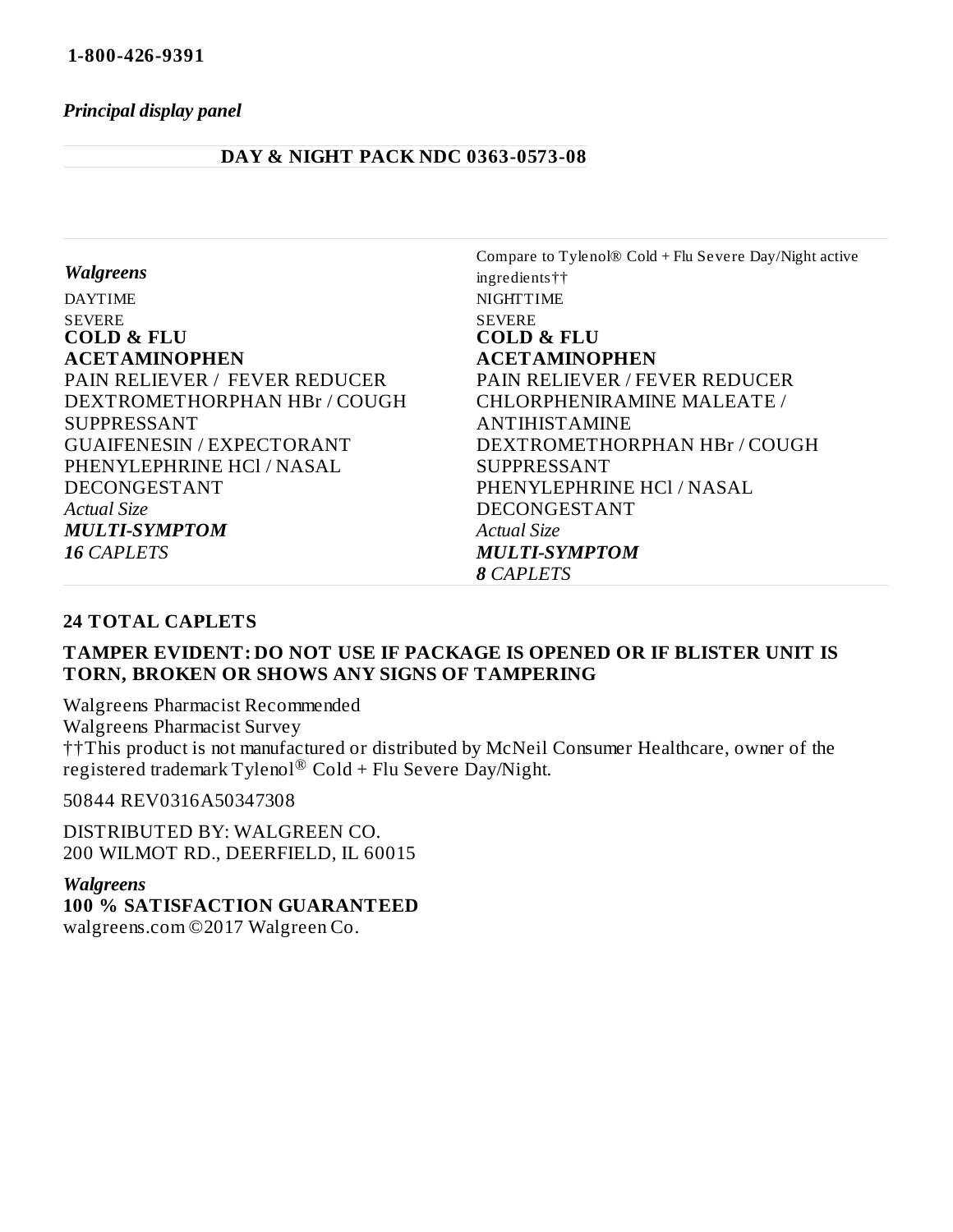#### *Principal display panel*

#### **DAY & NIGHT PACK NDC 0363-0573-08**

|                                      | Compare to Tylenol® Cold + Flu Severe Day/Night active |
|--------------------------------------|--------------------------------------------------------|
| <b>Walgreens</b>                     | ingredients††                                          |
| <b>DAYTIME</b>                       | <b>NIGHTTIME</b>                                       |
| <b>SEVERE</b>                        | <b>SEVERE</b>                                          |
| <b>COLD &amp; FLU</b>                | <b>COLD &amp; FLU</b>                                  |
| <b>ACETAMINOPHEN</b>                 | <b>ACETAMINOPHEN</b>                                   |
| <b>PAIN RELIEVER / FEVER REDUCER</b> | <b>PAIN RELIEVER / FEVER REDUCER</b>                   |
| DEXTROMETHORPHAN HBr / COUGH         | <b>CHLORPHENIRAMINE MALEATE /</b>                      |
| <b>SUPPRESSANT</b>                   | <b>ANTIHISTAMINE</b>                                   |
| <b>GUAIFENESIN / EXPECTORANT</b>     | DEXTROMETHORPHAN HBr / COUGH                           |
| PHENYLEPHRINE HCl / NASAL            | <b>SUPPRESSANT</b>                                     |
| DECONGESTANT                         | PHENYLEPHRINE HCl / NASAL                              |
| <b>Actual Size</b>                   | <b>DECONGESTANT</b>                                    |
| <b>MULTI-SYMPTOM</b>                 | <b>Actual Size</b>                                     |
| <b>16 CAPLETS</b>                    | <b>MULTI-SYMPTOM</b>                                   |
|                                      | <b>8 CAPLETS</b>                                       |

#### **24 TOTAL CAPLETS**

#### **TAMPER EVIDENT: DO NOT USE IF PACKAGE IS OPENED OR IF BLISTER UNIT IS TORN, BROKEN OR SHOWS ANY SIGNS OF TAMPERING**

Walgreens Pharmacist Recommended Walgreens Pharmacist Survey ††This product is not manufactured or distributed by McNeil Consumer Healthcare, owner of the registered trademark Tylenol $^{\circledR}$  Cold + Flu Severe Day/Night.

50844 REV0316A50347308

DISTRIBUTED BY: WALGREEN CO. 200 WILMOT RD., DEERFIELD, IL 60015

#### *Walgreens*

**100 % SATISFACTION GUARANTEED** walgreens.com ©2017 Walgreen Co.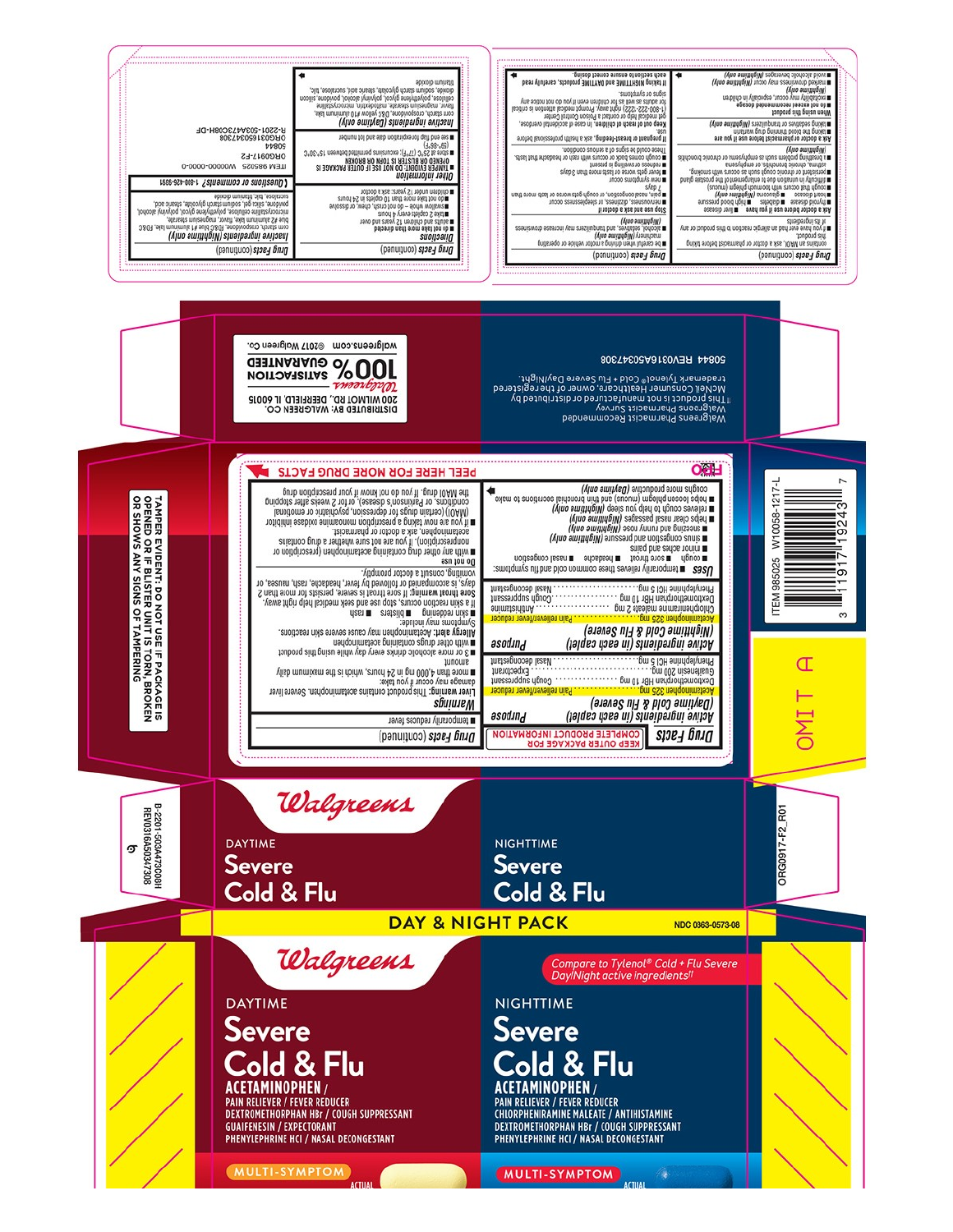

#### 50844 REV0316A50347308 Vadennark Tylenol © Cold + Flu Severe DayINIght.<br>In This porouncer Healthcare, owner of the registered<br>In The Discouncer Healthcare, owner of the registered<br>tradensens Pharmacist Survey<br>tradens Tylenol ® Cold + Flu Severe Walgreens Pharmacist Recommended **OCH** PEEL HERE FOR MORE DRUG FACTS condius uota broqnetne (pakinus ouik)<br>
I pape loosen byleåtu (uncine) sug pip processions pape loosen af all pape loosen af all processes of pape loosen<br>
I pape loosen af all pape loosen af all paper loosen af all paper lo The MAOI dug, If you do not know if your prescription drug<br>conditions, or Parkinson's dissesse), or for 2 weeks after stopping<br>conditions, or Parkinson's proportional conditions in the condition<br> $\hat{\mathbf{H}}$  if you are not  $1217 -$ 0058- $\overline{5}$ anisq bns earlos nonim m sore throat m headache masal congestion  $u\hat{b}n\hat{a}o$ asn jou og 985025 DSES ■ temporarily relieves these common cold and flue symptoms: თ **JUELSABUOOAD JESEN** Phenylephrine HCI 5 mg.... Component and the State of the State of the State of the State of the State of the State of the State of the S<br>Description of the State of the State of the State of the State of the State of the State of the State of the ITEM: snimsteininn ......<br>Inseen que diguo... . . . . . . . . . . . . . .  $\infty$ **Du czc usu** (anavae cold & Flu Severe) asodind Active ingredients (in each caplet) this objection of the theorem in the team of the team of the team of the team in the team of the team in the team in the team in the team in the team in the team in the team in the team in the team in the team in the team

(anaves ult & hlod amilyed)

NDC 0363-0573-08

۶

Compare to Tylenol® Cold + Flu Severe<br>Day/Night active ingredients<sup>††</sup>

 $s<sub>1</sub>$ 

Active ingiedients (in each caplet)

Œ

T INC

ë,

ORG0917-F2

m with any other drug containing acetaminophen (prescription or<br>nonprescription). If you are not sure whether a drug contains<br>monphene and doctor or pharmacist vomiting, consult a doctor promptly. installa im a politiciano de la constructo de la constructo de la constructo de la constructo de la constructo<br>8 ont de la constructa de la constructo de la constructo de la constructo de la constructo de la constructo d cannoul visit surordurfs

Allergy alert: Acctaminophen may cause severe skin reactions.<br>Allergy alert: Acctaminophen may cause severe skin reactions. ■3 or more alcoholic drinks every day while using pinoduct truoms

walgreens.com @2017 Walgreen Co. **DOOS** GUARANTEED

**200 MILMOT RD., DEERFIELD, IL 60015**<br>DISTRIBUTED BY: WALGREEN CO.

Liver warning: This product contains acetaminophen. Severe liver<br>damage may occur if you Bike:<br>may may occur if you Bike:<br>mone than 4,000 mg in 24 hours, which is the maximum daily

Walgreens

*<i><u>Shulunem*</u>

Couple and Massault **ELIEVEL TEGUC** 

**NIGHTTIME** 

**Severe** 

**NIGHTTIME Severe** 

**DAY & NIGHT PACK** 

Cold & Flu

COMPLETE PRODUCT INFORMATION

**OUTER PACKAGE FOR** 

asodind

m temporarily reduces fever Drug Facts (continued)



3-2201-503A473C08H<br>REV0316A50347308 ஏ

TAMPER EVIDENT: DO NOT USE IF PACKAGE IS<br>OPENED OR IF BLISTER UNIT IS TORN, BROKEN<br>OR SHOWS ANY SIGNS OF TAMPERING

**Severe Cold & Flu** 

Walgreens

## **DAYTIME**

**DAYTIME** 

Severe Cold & Flu

MULTI-SYMPTOM

**ACETAMINOPHEN/ PAIN RELIEVER / FEVER REDUCER<br>DEXTROMETHORPHAN HBr / COUGH SUPPRESSANT GUAIFENESIN / EXPECTORANT** PHENYLEPHRINE HCI / NASAL DECONGESTANT

MULTI-SYMPTOM

Cold & Flu

**CHLORPHENIRAMINE MALEATE / ANTIHISTAMINE<br>DEXTROMETHORPHAN HBr / COUGH SUPPRESSANT** 

PHENYLEPHRINE HCI / NASAL DECONGESTANT

**ACETAMINOPHEN/** 

PAIN RELIEVER / FEVER REDUCER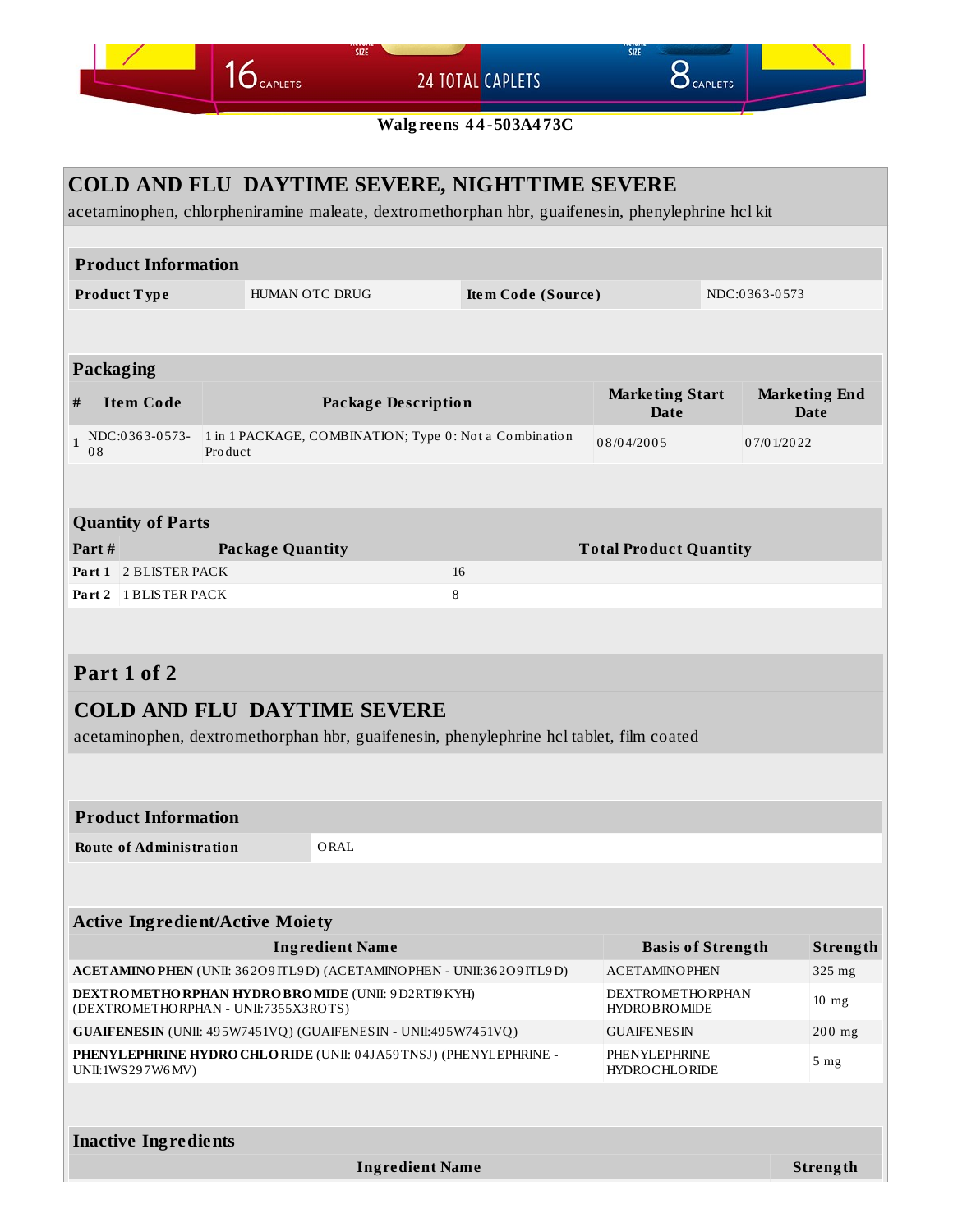**24 TOTAL CAPLETS** 

 $16$  CAPLETS

 $8<sub>caplets</sub>$ 

SIZE

**Walgreens 44-503A473C** 

#### COLD AND FLU DAYTIME SEVERE, NIGHTTIME SEVERE acetaminophen, chlorpheniramine maleate, dextromethorphan hbr, guaifenesin, phenylephrine hcl kit **Product Information** NDC:0363-0573 HUMAN OTC DRUG Product Type Item Code (Source) Packaging **Marketing Start Marketing End Item Code Package Description**  $#$ **Date Date**  $1\begin{array}{|l|l|}\n\hline\n\text{NDC:}0363-0573-\n\hline\n08\n\end{array}$ 1 in 1 PACKAGE, COMBINATION; Type 0: Not a Combination 08/04/2005 07/01/2022 Product **Quantity of Parts Package Quantity** Part# **Total Product Quantity** Part 1 2 BLISTER PACK 16 Part 2 1 BLISTER PACK 8 Part 1 of 2 **COLD AND FLU DAYTIME SEVERE** acetaminophen, dextromethorphan hbr, guaifenesin, phenylephrine hcl tablet, film coated **Product Information** ORAL **Route of Administration Active Ingredient/Active Moiety Ingredient Name Basis of Strength** Strength ACETAMINO PHEN (UNII: 36209 ITL9D) (ACETAMINO PHEN - UNII:36209 ITL9D) **ACETAMINOPHEN** 325 mg **DEXTROMETHORPHAN HYDROBROMIDE (UNII: 9D2RTI9KYH) DEXTROMETHORPHAN**  $10$  mg (DEXTROMETHORPHAN - UNII:7355X3ROTS) HYDROBROMIDE GUAIFENESIN (UNII: 495W7451VQ) (GUAIFENESIN - UNII:495W7451VQ) **GUAIFENESIN** 200 mg PHENYLEPHRINE HYDRO CHLORIDE (UNII: 04JA59TNSJ) (PHENYLEPHRINE -PHENYLEPHRINE 5 mg UNII:1WS297W6MV) **HYDROCHLORIDE Inactive Ingredients**

**Ingredient Name** 

Strength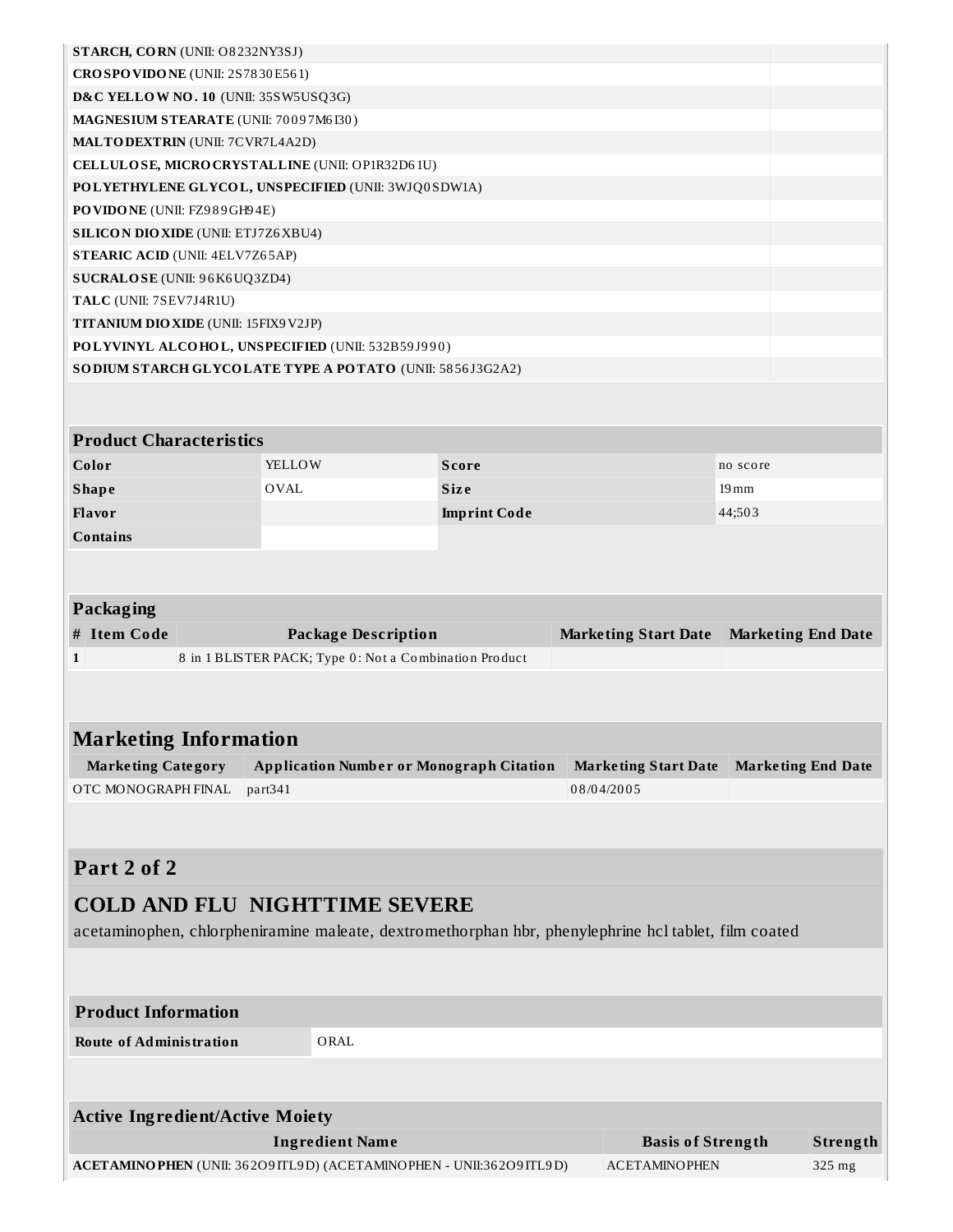| STARCH, CORN (UNII: O8232NY3SJ)                                                                      |             |                                                        |                     |                                                  |                           |                           |
|------------------------------------------------------------------------------------------------------|-------------|--------------------------------------------------------|---------------------|--------------------------------------------------|---------------------------|---------------------------|
| CROSPOVIDONE (UNII: 2S7830E561)                                                                      |             |                                                        |                     |                                                  |                           |                           |
| D&C YELLOW NO. 10 (UNII: 35SW5USQ3G)                                                                 |             |                                                        |                     |                                                  |                           |                           |
| MAGNESIUM STEARATE (UNII: 70097M6I30)                                                                |             |                                                        |                     |                                                  |                           |                           |
| <b>MALTODEXTRIN</b> (UNII: 7CVR7L4A2D)                                                               |             |                                                        |                     |                                                  |                           |                           |
| CELLULOSE, MICRO CRYSTALLINE (UNII: OP1R32D61U)                                                      |             |                                                        |                     |                                                  |                           |                           |
| POLYETHYLENE GLYCOL, UNSPECIFIED (UNII: 3WJQ0SDW1A)                                                  |             |                                                        |                     |                                                  |                           |                           |
| PO VIDO NE (UNII: FZ989GH94E)                                                                        |             |                                                        |                     |                                                  |                           |                           |
| <b>SILICON DIO XIDE (UNII: ETJ7Z6 XBU4)</b>                                                          |             |                                                        |                     |                                                  |                           |                           |
| <b>STEARIC ACID (UNII: 4ELV7Z65AP)</b>                                                               |             |                                                        |                     |                                                  |                           |                           |
| SUCRALOSE (UNII: 96K6UQ3ZD4)                                                                         |             |                                                        |                     |                                                  |                           |                           |
| TALC (UNII: 7SEV7J4R1U)                                                                              |             |                                                        |                     |                                                  |                           |                           |
| TITANIUM DIO XIDE (UNII: 15FIX9V2JP)                                                                 |             |                                                        |                     |                                                  |                           |                           |
| POLYVINYL ALCOHOL, UNSPECIFIED (UNII: 532B59J990)                                                    |             |                                                        |                     |                                                  |                           |                           |
| SODIUM STARCH GLYCOLATE TYPE A POTATO (UNII: 5856J3G2A2)                                             |             |                                                        |                     |                                                  |                           |                           |
|                                                                                                      |             |                                                        |                     |                                                  |                           |                           |
|                                                                                                      |             |                                                        |                     |                                                  |                           |                           |
| <b>Product Characteristics</b>                                                                       |             |                                                        |                     |                                                  |                           |                           |
| Color                                                                                                | YELLOW      |                                                        | <b>Score</b>        |                                                  | no score                  |                           |
| <b>Shape</b>                                                                                         | <b>OVAL</b> |                                                        | <b>Size</b>         |                                                  | $19 \,\mathrm{mm}$        |                           |
| Flavor                                                                                               |             |                                                        | <b>Imprint Code</b> |                                                  | 44;503                    |                           |
|                                                                                                      |             |                                                        |                     |                                                  |                           |                           |
| <b>Contains</b>                                                                                      |             |                                                        |                     |                                                  |                           |                           |
|                                                                                                      |             |                                                        |                     |                                                  |                           |                           |
|                                                                                                      |             |                                                        |                     |                                                  |                           |                           |
|                                                                                                      |             |                                                        |                     |                                                  |                           |                           |
| Packaging                                                                                            |             |                                                        |                     |                                                  |                           |                           |
| # Item Code                                                                                          |             | <b>Package Description</b>                             |                     | <b>Marketing Start Date</b>                      | <b>Marketing End Date</b> |                           |
| 1                                                                                                    |             | 8 in 1 BLISTER PACK; Type 0: Not a Combination Product |                     |                                                  |                           |                           |
|                                                                                                      |             |                                                        |                     |                                                  |                           |                           |
|                                                                                                      |             |                                                        |                     |                                                  |                           |                           |
|                                                                                                      |             |                                                        |                     |                                                  |                           |                           |
| <b>Marketing Information</b>                                                                         |             |                                                        |                     |                                                  |                           |                           |
| <b>Marketing Category</b>                                                                            |             | <b>Application Number or Monograph Citation</b>        |                     | <b>Marketing Start Date</b>                      |                           | <b>Marketing End Date</b> |
| OTC MONOGRAPH FINAL                                                                                  | part341     |                                                        |                     | 08/04/2005                                       |                           |                           |
|                                                                                                      |             |                                                        |                     |                                                  |                           |                           |
|                                                                                                      |             |                                                        |                     |                                                  |                           |                           |
|                                                                                                      |             |                                                        |                     |                                                  |                           |                           |
| Part 2 of 2                                                                                          |             |                                                        |                     |                                                  |                           |                           |
| <b>COLD AND FLU NIGHTTIME SEVERE</b>                                                                 |             |                                                        |                     |                                                  |                           |                           |
| acetaminophen, chlorpheniramine maleate, dextromethorphan hbr, phenylephrine hcl tablet, film coated |             |                                                        |                     |                                                  |                           |                           |
|                                                                                                      |             |                                                        |                     |                                                  |                           |                           |
|                                                                                                      |             |                                                        |                     |                                                  |                           |                           |
|                                                                                                      |             |                                                        |                     |                                                  |                           |                           |
| <b>Product Information</b>                                                                           |             |                                                        |                     |                                                  |                           |                           |
| <b>Route of Administration</b>                                                                       |             | ORAL                                                   |                     |                                                  |                           |                           |
|                                                                                                      |             |                                                        |                     |                                                  |                           |                           |
|                                                                                                      |             |                                                        |                     |                                                  |                           |                           |
|                                                                                                      |             |                                                        |                     |                                                  |                           |                           |
| <b>Active Ingredient/Active Moiety</b>                                                               |             |                                                        |                     |                                                  |                           |                           |
| ACETAMINO PHEN (UNII: 36209 ITL9D) (ACETAMINO PHEN - UNII:36209 ITL9D)                               |             | <b>Ingredient Name</b>                                 |                     | <b>Basis of Strength</b><br><b>ACETAMINOPHEN</b> |                           | Strength<br>325 mg        |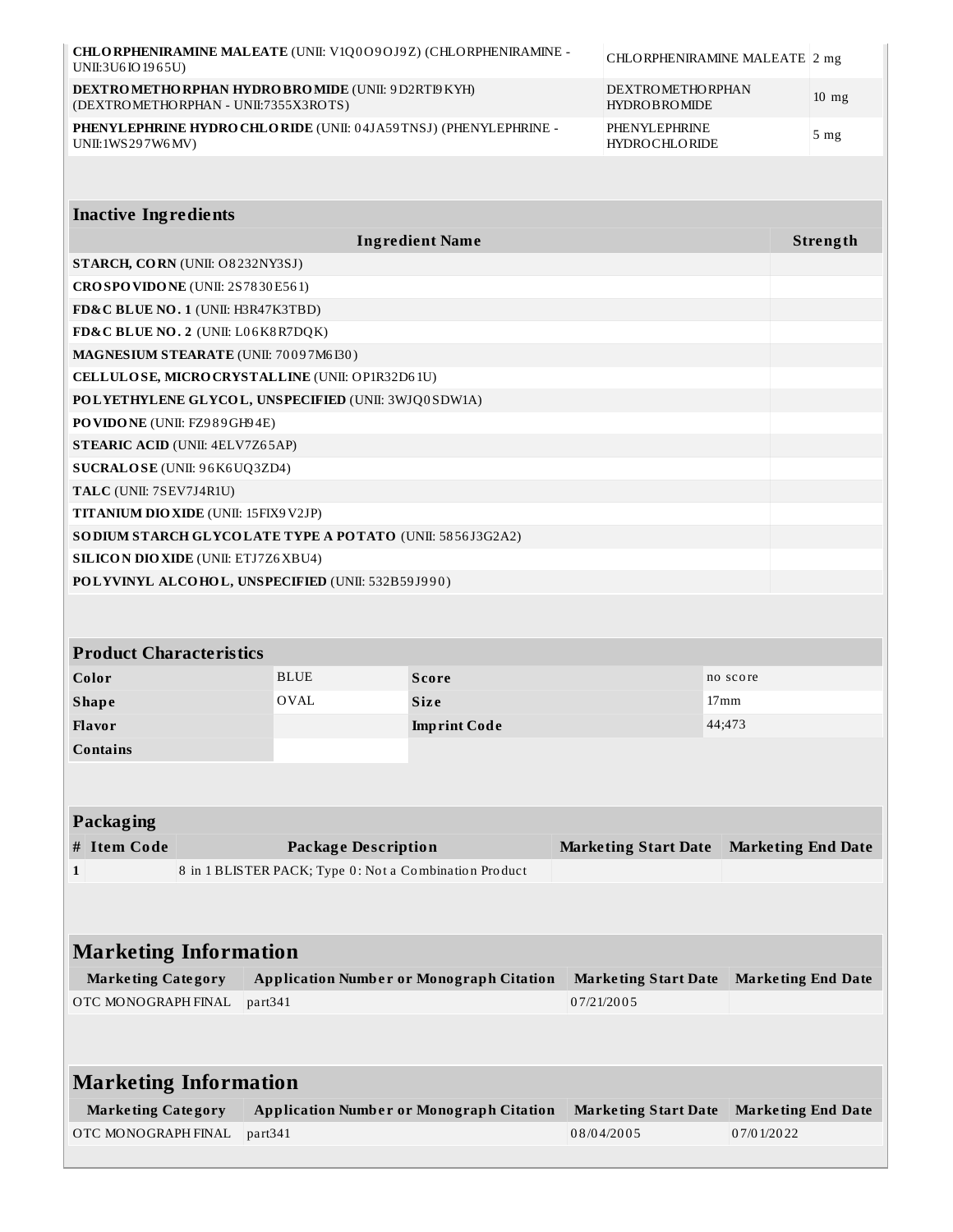| UNII:3U6IO 1965U)                                                                     | CHLORPHENIRAMINE MALEATE (UNII: V1Q0O9OJ9Z) (CHLORPHENIRAMINE -<br>CHLORPHENIRAMINE MALEATE 2 mg |                                                                                                    |                                           |                                         |                 |  |
|---------------------------------------------------------------------------------------|--------------------------------------------------------------------------------------------------|----------------------------------------------------------------------------------------------------|-------------------------------------------|-----------------------------------------|-----------------|--|
| (DEXTROMETHORPHAN - UNII:7355X3ROTS)                                                  |                                                                                                  | DEXTROMETHORPHAN HYDROBROMIDE (UNII: 9D2RTI9KYH)<br><b>DEXTROMETHORPHAN</b><br><b>HYDROBROMIDE</b> |                                           |                                         | $10 \text{ mg}$ |  |
| PHENYLEPHRINE HYDRO CHLO RIDE (UNII: 04JA59TNSJ) (PHENYLEPHRINE -<br>UNII:1WS297W6MV) |                                                                                                  |                                                                                                    | PHENYLEPHRINE<br><b>HYDROCHLORIDE</b>     |                                         | 5 <sub>mg</sub> |  |
|                                                                                       |                                                                                                  |                                                                                                    |                                           |                                         |                 |  |
| <b>Inactive Ingredients</b>                                                           |                                                                                                  |                                                                                                    |                                           |                                         |                 |  |
|                                                                                       |                                                                                                  | <b>Ingredient Name</b>                                                                             |                                           |                                         | Strength        |  |
| STARCH, CORN (UNII: O8232NY3SJ)                                                       |                                                                                                  |                                                                                                    |                                           |                                         |                 |  |
|                                                                                       | CROSPOVIDONE (UNII: 2S7830E561)                                                                  |                                                                                                    |                                           |                                         |                 |  |
| FD&C BLUE NO. 1 (UNII: H3R47K3TBD)                                                    |                                                                                                  |                                                                                                    |                                           |                                         |                 |  |
| FD&C BLUE NO. 2 (UNII: L06K8R7DQK)                                                    |                                                                                                  |                                                                                                    |                                           |                                         |                 |  |
| MAGNESIUM STEARATE (UNII: 70097M6I30)                                                 |                                                                                                  |                                                                                                    |                                           |                                         |                 |  |
| CELLULOSE, MICRO CRYSTALLINE (UNII: OP1R32D61U)                                       |                                                                                                  |                                                                                                    |                                           |                                         |                 |  |
| POLYETHYLENE GLYCOL, UNSPECIFIED (UNII: 3WJQ0SDW1A)                                   |                                                                                                  |                                                                                                    |                                           |                                         |                 |  |
| PO VIDO NE (UNII: FZ989GH94E)                                                         |                                                                                                  |                                                                                                    |                                           |                                         |                 |  |
| <b>STEARIC ACID (UNII: 4ELV7Z65AP)</b>                                                |                                                                                                  |                                                                                                    |                                           |                                         |                 |  |
| SUCRALOSE (UNII: 96K6UQ3ZD4)                                                          |                                                                                                  |                                                                                                    |                                           |                                         |                 |  |
| TALC (UNII: 7SEV7J4R1U)                                                               |                                                                                                  |                                                                                                    |                                           |                                         |                 |  |
| <b>TITANIUM DIO XIDE (UNII: 15FIX9 V2JP)</b>                                          |                                                                                                  |                                                                                                    |                                           |                                         |                 |  |
| SO DIUM STARCH GLYCOLATE TYPE A POTATO (UNII: 5856J3G2A2)                             |                                                                                                  |                                                                                                    |                                           |                                         |                 |  |
| <b>SILICON DIO XIDE (UNII: ETJ7Z6 XBU4)</b>                                           |                                                                                                  |                                                                                                    |                                           |                                         |                 |  |
| POLYVINYL ALCOHOL, UNSPECIFIED (UNII: 532B59J990)                                     |                                                                                                  |                                                                                                    |                                           |                                         |                 |  |
|                                                                                       |                                                                                                  |                                                                                                    |                                           |                                         |                 |  |
|                                                                                       |                                                                                                  |                                                                                                    |                                           |                                         |                 |  |
| <b>Product Characteristics</b>                                                        |                                                                                                  |                                                                                                    |                                           |                                         |                 |  |
| Color                                                                                 | <b>BLUE</b>                                                                                      | <b>Score</b>                                                                                       |                                           | no score                                |                 |  |
|                                                                                       | <b>OVAL</b>                                                                                      |                                                                                                    |                                           | $17 \text{mm}$                          |                 |  |
| <b>Shape</b>                                                                          |                                                                                                  | <b>Size</b>                                                                                        |                                           |                                         |                 |  |
| Flavor                                                                                |                                                                                                  | <b>Imprint Code</b>                                                                                |                                           | 44;473                                  |                 |  |
| <b>Contains</b>                                                                       |                                                                                                  |                                                                                                    |                                           |                                         |                 |  |
|                                                                                       |                                                                                                  |                                                                                                    |                                           |                                         |                 |  |
|                                                                                       |                                                                                                  |                                                                                                    |                                           |                                         |                 |  |
| Packaging                                                                             |                                                                                                  |                                                                                                    |                                           |                                         |                 |  |
| # Item Code                                                                           | <b>Package Description</b>                                                                       |                                                                                                    | <b>Marketing Start Date</b>               | <b>Marketing End Date</b>               |                 |  |
| $\mathbf{1}$                                                                          | 8 in 1 BLISTER PACK; Type 0: Not a Combination Product                                           |                                                                                                    |                                           |                                         |                 |  |
|                                                                                       |                                                                                                  |                                                                                                    |                                           |                                         |                 |  |
| <b>Marketing Information</b>                                                          |                                                                                                  |                                                                                                    |                                           |                                         |                 |  |
| <b>Marketing Category</b>                                                             |                                                                                                  | <b>Application Number or Monograph Citation</b>                                                    | <b>Marketing Start Date</b>               | <b>Marketing End Date</b>               |                 |  |
| OTC MONOGRAPH FINAL                                                                   | part341                                                                                          |                                                                                                    | 07/21/2005                                |                                         |                 |  |
|                                                                                       |                                                                                                  |                                                                                                    |                                           |                                         |                 |  |
|                                                                                       |                                                                                                  |                                                                                                    |                                           |                                         |                 |  |
| <b>Marketing Information</b>                                                          |                                                                                                  |                                                                                                    |                                           |                                         |                 |  |
| <b>Marketing Category</b><br>OTC MONOGRAPH FINAL                                      | part341                                                                                          | <b>Application Number or Monograph Citation</b>                                                    | <b>Marketing Start Date</b><br>08/04/2005 | <b>Marketing End Date</b><br>07/01/2022 |                 |  |